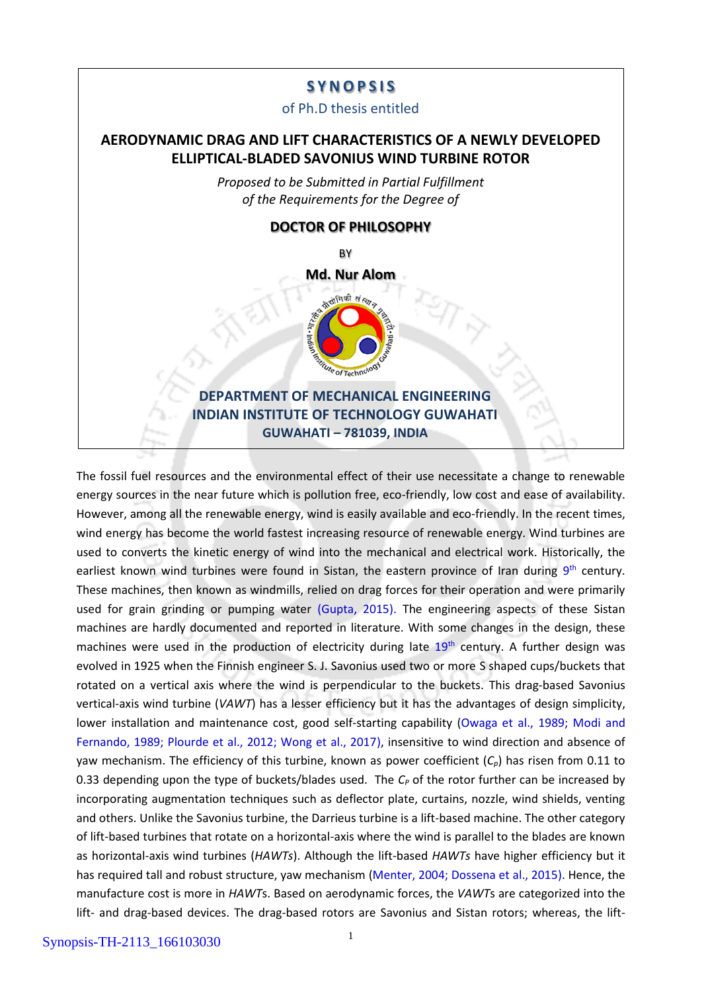# **S Y N O P S I S**

### of Ph.D thesis entitled

# **AERODYNAMIC DRAG AND LIFT CHARACTERISTICS OF A NEWLY DEVELOPED ELLIPTICAL-BLADED SAVONIUS WIND TURBINE ROTOR**

*Proposed to be Submitted in Partial Fulfillment of the Requirements for the Degree of* 



The fossil fuel resources and the environmental effect of their use necessitate a change to renewable energy sources in the near future which is pollution free, eco-friendly, low cost and ease of availability. However, among all the renewable energy, wind is easily available and eco-friendly. In the recent times, wind energy has become the world fastest increasing resource of renewable energy. Wind turbines are used to converts the kinetic energy of wind into the mechanical and electrical work. Historically, the earliest known wind turbines were found in Sistan, the eastern province of Iran during 9<sup>th</sup> century. These machines, then known as windmills, relied on drag forces for their operation and were primarily used for grain grinding or pumping water (Gupta, 2015). The engineering aspects of these Sistan machines are hardly documented and reported in literature. With some changes in the design, these machines were used in the production of electricity during late  $19<sup>th</sup>$  century. A further design was evolved in 1925 when the Finnish engineer S. J. Savonius used two or more S shaped cups/buckets that rotated on a vertical axis where the wind is perpendicular to the buckets. This drag-based Savonius vertical-axis wind turbine (*VAWT*) has a lesser efficiency but it has the advantages of design simplicity, lower installation and maintenance cost, good self-starting capability (Owaga et al., 1989; Modi and Fernando, 1989; Plourde et al., 2012; Wong et al., 2017), insensitive to wind direction and absence of yaw mechanism. The efficiency of this turbine, known as power coefficient (*Cp*) has risen from 0.11 to 0.33 depending upon the type of buckets/blades used. The *C<sup>P</sup>* of the rotor further can be increased by incorporating augmentation techniques such as deflector plate, curtains, nozzle, wind shields, venting and others. Unlike the Savonius turbine, the Darrieus turbine is a lift-based machine. The other category of lift-based turbines that rotate on a horizontal-axis where the wind is parallel to the blades are known as horizontal-axis wind turbines (*HAWTs*). Although the lift-based *HAWTs* have higher efficiency but it has required tall and robust structure, yaw mechanism (Menter, 2004; Dossena et al., 2015). Hence, the manufacture cost is more in *HAWT*s. Based on aerodynamic forces, the *VAWT*s are categorized into the lift- and drag-based devices. The drag-based rotors are Savonius and Sistan rotors; whereas, the lift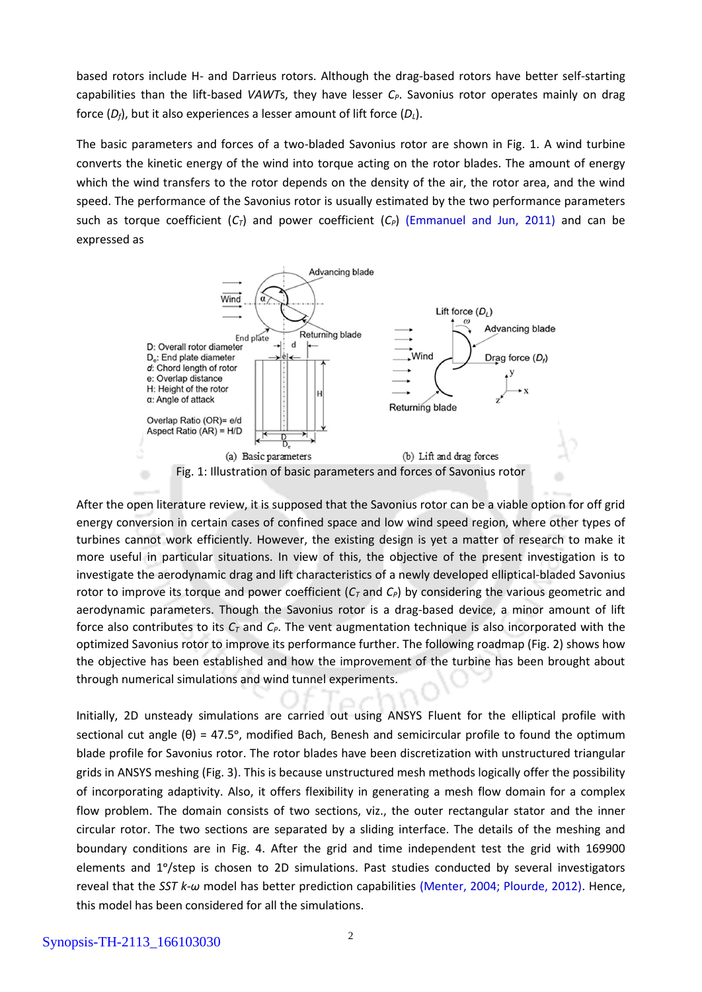based rotors include H- and Darrieus rotors. Although the drag-based rotors have better self-starting capabilities than the lift-based *VAWT*s, they have lesser *CP*. Savonius rotor operates mainly on drag force (*Df*), but it also experiences a lesser amount of lift force (*DL*).

The basic parameters and forces of a two-bladed Savonius rotor are shown in Fig. 1. A wind turbine converts the kinetic energy of the wind into torque acting on the rotor blades. The amount of energy which the wind transfers to the rotor depends on the density of the air, the rotor area, and the wind speed. The performance of the Savonius rotor is usually estimated by the two performance parameters such as torque coefficient  $(C_7)$  and power coefficient  $(C_7)$  (Emmanuel and Jun, 2011) and can be expressed as



After the open literature review, it is supposed that the Savonius rotor can be a viable option for off grid energy conversion in certain cases of confined space and low wind speed region, where other types of turbines cannot work efficiently. However, the existing design is yet a matter of research to make it more useful in particular situations. In view of this, the objective of the present investigation is to investigate the aerodynamic drag and lift characteristics of a newly developed elliptical-bladed Savonius rotor to improve its torque and power coefficient (*C<sup>T</sup>* and *CP*) by considering the various geometric and aerodynamic parameters. Though the Savonius rotor is a drag-based device, a minor amount of lift force also contributes to its *C<sup>T</sup>* and *CP*. The vent augmentation technique is also incorporated with the optimized Savonius rotor to improve its performance further. The following roadmap (Fig. 2) shows how the objective has been established and how the improvement of the turbine has been brought about through numerical simulations and wind tunnel experiments.

Initially, 2D unsteady simulations are carried out using ANSYS Fluent for the elliptical profile with sectional cut angle  $(\theta) = 47.5^{\circ}$ , modified Bach, Benesh and semicircular profile to found the optimum blade profile for Savonius rotor. The rotor blades have been discretization with unstructured triangular grids in ANSYS meshing (Fig. 3). This is because unstructured mesh methods logically offer the possibility of incorporating adaptivity. Also, it offers flexibility in generating a mesh flow domain for a complex flow problem. The domain consists of two sections, viz., the outer rectangular stator and the inner circular rotor. The two sections are separated by a sliding interface. The details of the meshing and boundary conditions are in Fig. 4. After the grid and time independent test the grid with 169900 elements and 1°/step is chosen to 2D simulations. Past studies conducted by several investigators reveal that the *SST k-ω* model has better prediction capabilities (Menter, 2004; Plourde, 2012). Hence, this model has been considered for all the simulations.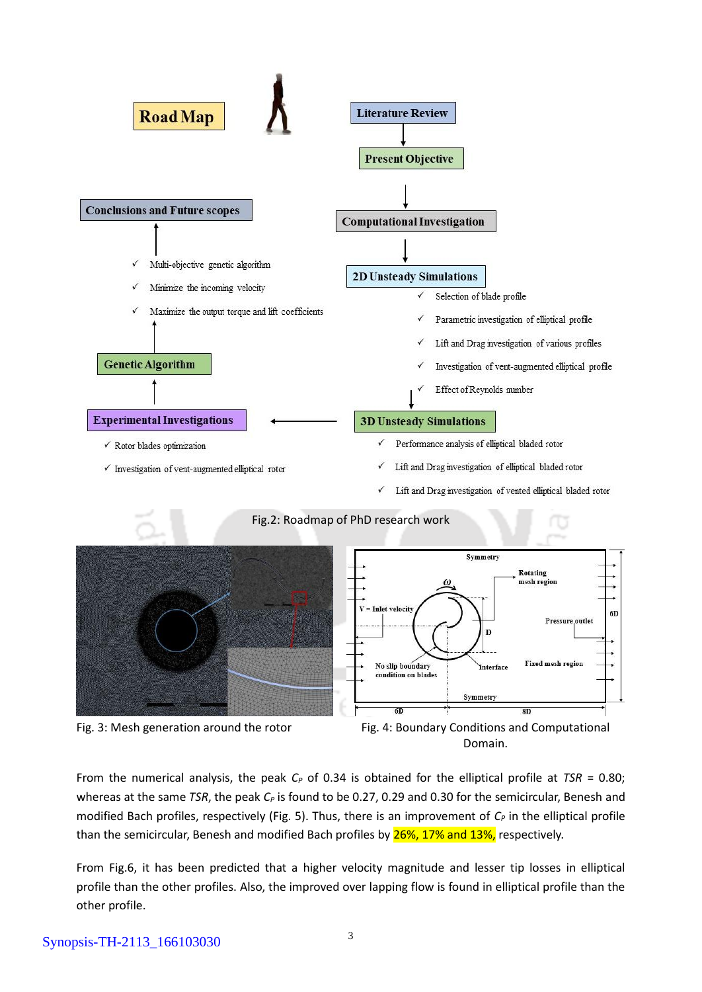







Symmetry

Interface

Rotating mesh region

 $8D$ 

6D

**Pressure outlet** 

**Fixed mesh region** 

From the numerical analysis, the peak  $C_P$  of 0.34 is obtained for the elliptical profile at *TSR* = 0.80; whereas at the same *TSR*, the peak *C*<sub>*P*</sub> is found to be 0.27, 0.29 and 0.30 for the semicircular, Benesh and modified Bach profiles, respectively (Fig. 5). Thus, there is an improvement of *C<sup>P</sup>* in the elliptical profile than the semicircular, Benesh and modified Bach profiles by 26%, 17% and 13%, respectively.

From Fig.6, it has been predicted that a higher velocity magnitude and lesser tip losses in elliptical profile than the other profiles. Also, the improved over lapping flow is found in elliptical profile than the other profile.

## Synopsis-TH-2113\_166103030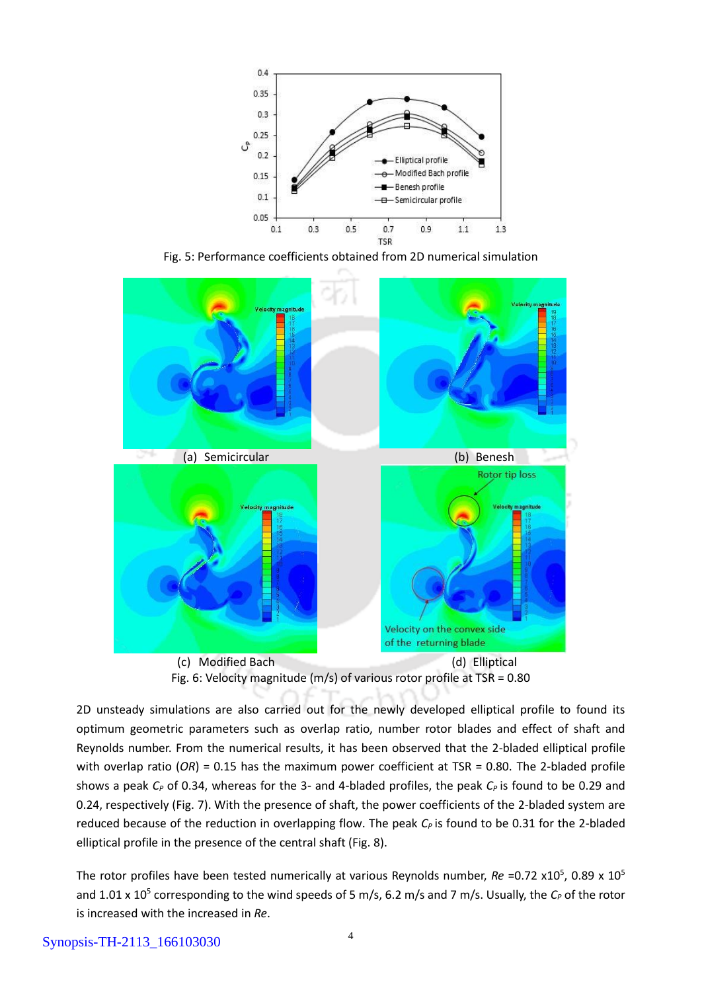

Fig. 5: Performance coefficients obtained from 2D numerical simulation





2D unsteady simulations are also carried out for the newly developed elliptical profile to found its optimum geometric parameters such as overlap ratio, number rotor blades and effect of shaft and Reynolds number. From the numerical results, it has been observed that the 2-bladed elliptical profile with overlap ratio (OR) = 0.15 has the maximum power coefficient at TSR = 0.80. The 2-bladed profile shows a peak *C<sub>P</sub>* of 0.34, whereas for the 3- and 4-bladed profiles, the peak *C<sub>P</sub>* is found to be 0.29 and 0.24, respectively (Fig. 7). With the presence of shaft, the power coefficients of the 2-bladed system are reduced because of the reduction in overlapping flow. The peak *CP* is found to be 0.31 for the 2-bladed elliptical profile in the presence of the central shaft (Fig. 8).

The rotor profiles have been tested numerically at various Reynolds number, *Re* =0.72 x10<sup>5</sup>, 0.89 x 10<sup>5</sup> and 1.01 x 10<sup>5</sup> corresponding to the wind speeds of 5 m/s, 6.2 m/s and 7 m/s. Usually, the C<sub>P</sub> of the rotor is increased with the increased in *Re*.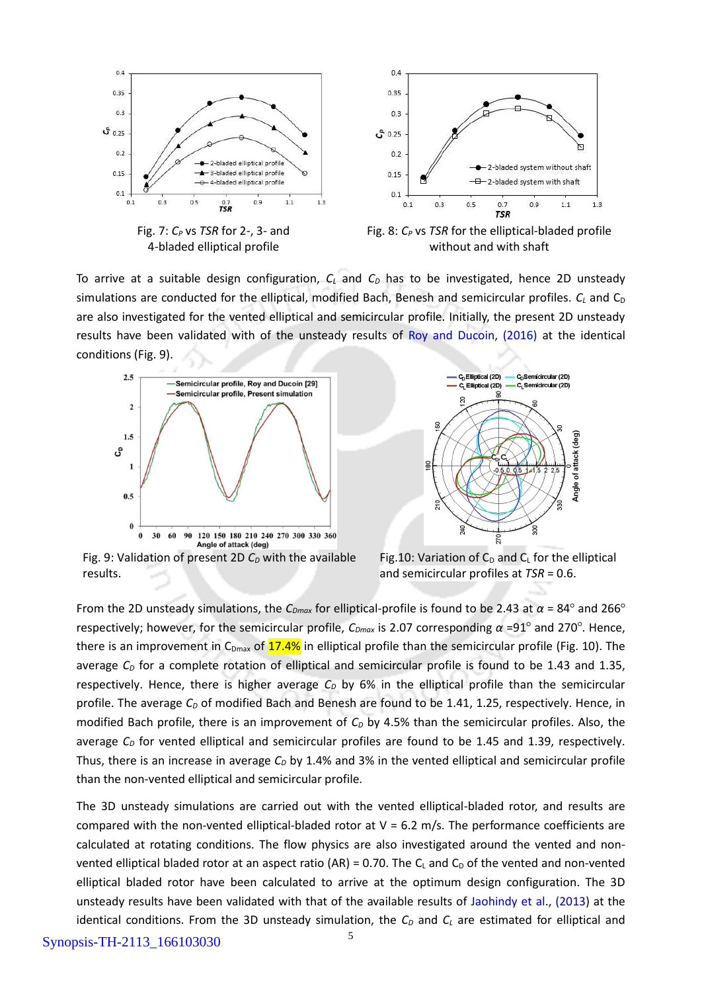

To arrive at a suitable design configuration, *C<sup>L</sup>* and *C<sup>D</sup>* has to be investigated, hence 2D unsteady simulations are conducted for the elliptical, modified Bach, Benesh and semicircular profiles.  $C_l$  and  $C_p$ are also investigated for the vented elliptical and semicircular profile. Initially, the present 2D unsteady results have been validated with of the unsteady results of Roy and Ducoin, (2016) at the identical conditions (Fig. 9).





Fig. 9: Validation of present 2D *C<sup>D</sup>* with the available results.

Fig.10: Variation of  $C_D$  and  $C_L$  for the elliptical and semicircular profiles at *TSR* = 0.6.

From the 2D unsteady simulations, the *CDmax* for elliptical-profile is found to be 2.43 at *α* = 84○ and 266○ respectively; however, for the semicircular profile, *CDmax* is 2.07 corresponding *α* =91○ and 270○ . Hence, there is an improvement in  $C_{Dmax}$  of  $17.4\%$  in elliptical profile than the semicircular profile (Fig. 10). The average  $C<sub>D</sub>$  for a complete rotation of elliptical and semicircular profile is found to be 1.43 and 1.35, respectively. Hence, there is higher average *C<sup>D</sup>* by 6% in the elliptical profile than the semicircular profile. The average C<sub>D</sub> of modified Bach and Benesh are found to be 1.41, 1.25, respectively. Hence, in modified Bach profile, there is an improvement of  $C<sub>D</sub>$  by 4.5% than the semicircular profiles. Also, the average  $C<sub>D</sub>$  for vented elliptical and semicircular profiles are found to be 1.45 and 1.39, respectively. Thus, there is an increase in average *C<sup>D</sup>* by 1.4% and 3% in the vented elliptical and semicircular profile than the non-vented elliptical and semicircular profile.

The 3D unsteady simulations are carried out with the vented elliptical-bladed rotor, and results are compared with the non-vented elliptical-bladed rotor at  $V = 6.2$  m/s. The performance coefficients are calculated at rotating conditions. The flow physics are also investigated around the vented and nonvented elliptical bladed rotor at an aspect ratio (AR) = 0.70. The  $C<sub>L</sub>$  and  $C<sub>D</sub>$  of the vented and non-vented elliptical bladed rotor have been calculated to arrive at the optimum design configuration. The 3D unsteady results have been validated with that of the available results of Jaohindy et al., (2013) at the identical conditions. From the 3D unsteady simulation, the  $C_D$  and  $C_L$  are estimated for elliptical and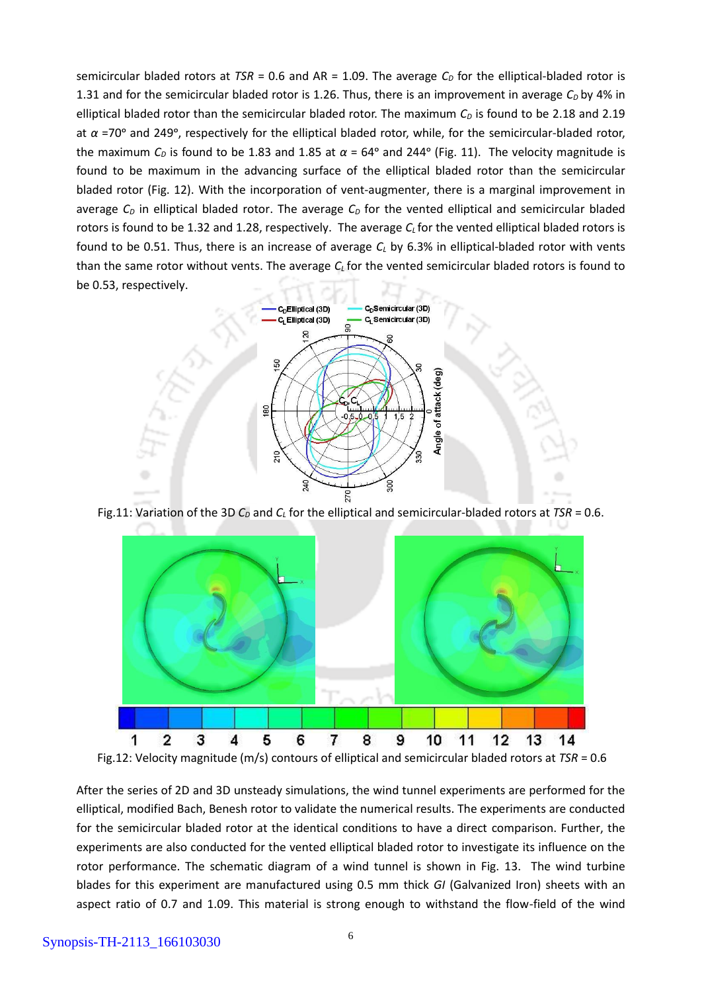semicircular bladed rotors at  $TSR = 0.6$  and  $AR = 1.09$ . The average  $C<sub>D</sub>$  for the elliptical-bladed rotor is 1.31 and for the semicircular bladed rotor is 1.26. Thus, there is an improvement in average  $C<sub>D</sub>$  by 4% in elliptical bladed rotor than the semicircular bladed rotor. The maximum  $C<sub>D</sub>$  is found to be 2.18 and 2.19 at *α* =70ᵒ and 249ᵒ, respectively for the elliptical bladed rotor, while, for the semicircular-bladed rotor, the maximum  $C_D$  is found to be 1.83 and 1.85 at  $\alpha$  = 64° and 244° (Fig. 11). The velocity magnitude is found to be maximum in the advancing surface of the elliptical bladed rotor than the semicircular bladed rotor (Fig. 12). With the incorporation of vent-augmenter, there is a marginal improvement in average *C<sup>D</sup>* in elliptical bladed rotor. The average *C<sup>D</sup>* for the vented elliptical and semicircular bladed rotors is found to be 1.32 and 1.28, respectively. The average *C<sup>L</sup>* for the vented elliptical bladed rotors is found to be 0.51. Thus, there is an increase of average *C<sup>L</sup>* by 6.3% in elliptical-bladed rotor with vents than the same rotor without vents. The average *C<sup>L</sup>* for the vented semicircular bladed rotors is found to be 0.53, respectively.



Fig.11: Variation of the 3D *C<sup>D</sup>* and *C<sup>L</sup>* for the elliptical and semicircular-bladed rotors at *TSR* = 0.6.



Fig.12: Velocity magnitude (m/s) contours of elliptical and semicircular bladed rotors at *TSR* = 0.6

After the series of 2D and 3D unsteady simulations, the wind tunnel experiments are performed for the elliptical, modified Bach, Benesh rotor to validate the numerical results. The experiments are conducted for the semicircular bladed rotor at the identical conditions to have a direct comparison. Further, the experiments are also conducted for the vented elliptical bladed rotor to investigate its influence on the rotor performance. The schematic diagram of a wind tunnel is shown in Fig. 13. The wind turbine blades for this experiment are manufactured using 0.5 mm thick *GI* (Galvanized Iron) sheets with an aspect ratio of 0.7 and 1.09. This material is strong enough to withstand the flow-field of the wind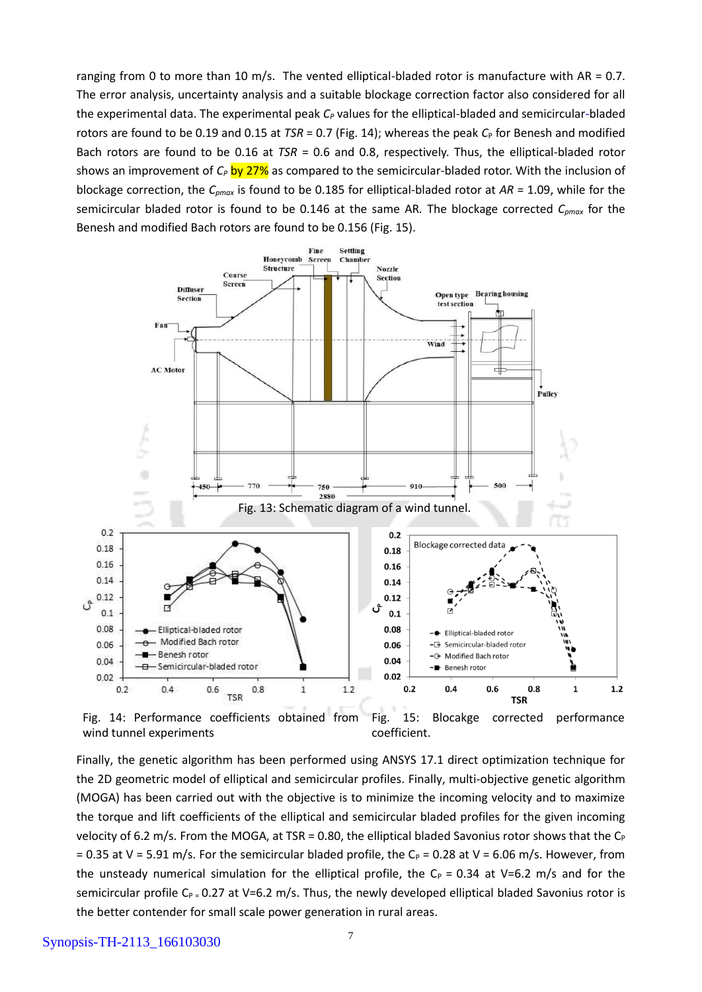ranging from 0 to more than 10 m/s. The vented elliptical-bladed rotor is manufacture with AR = 0.7. The error analysis, uncertainty analysis and a suitable blockage correction factor also considered for all the experimental data. The experimental peak *C<sup>P</sup>* values for the elliptical-bladed and semicircular-bladed rotors are found to be 0.19 and 0.15 at  $TSR = 0.7$  (Fig. 14); whereas the peak  $C_P$  for Benesh and modified Bach rotors are found to be 0.16 at *TSR* = 0.6 and 0.8, respectively. Thus, the elliptical-bladed rotor shows an improvement of  $C_P$  by 27% as compared to the semicircular-bladed rotor. With the inclusion of blockage correction, the *Cpmax* is found to be 0.185 for elliptical-bladed rotor at *AR* = 1.09, while for the semicircular bladed rotor is found to be 0.146 at the same AR*.* The blockage corrected *Cpmax* for the Benesh and modified Bach rotors are found to be 0.156 (Fig. 15).



wind tunnel experiments



Finally, the genetic algorithm has been performed using ANSYS 17.1 direct optimization technique for the 2D geometric model of elliptical and semicircular profiles. Finally, multi-objective genetic algorithm (MOGA) has been carried out with the objective is to minimize the incoming velocity and to maximize the torque and lift coefficients of the elliptical and semicircular bladed profiles for the given incoming velocity of 6.2 m/s. From the MOGA, at TSR = 0.80, the elliptical bladed Savonius rotor shows that the  $C_P$ = 0.35 at V = 5.91 m/s. For the semicircular bladed profile, the C<sub>P</sub> = 0.28 at V = 6.06 m/s. However, from the unsteady numerical simulation for the elliptical profile, the  $C_P = 0.34$  at V=6.2 m/s and for the semicircular profile C<sub>P =</sub> 0.27 at V=6.2 m/s. Thus, the newly developed elliptical bladed Savonius rotor is the better contender for small scale power generation in rural areas.